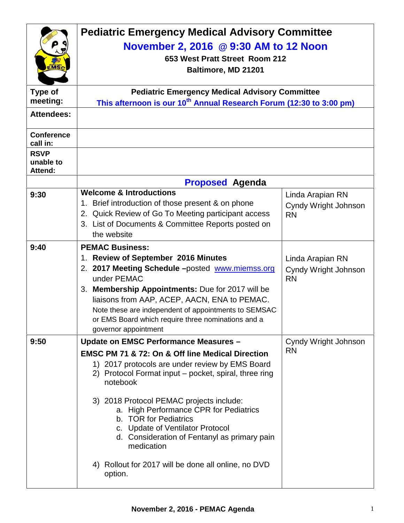|                                            | <b>Pediatric Emergency Medical Advisory Committee</b><br>November 2, 2016 @ 9:30 AM to 12 Noon<br>653 West Pratt Street Room 212<br>Baltimore, MD 21201                                                                                                                                                                                         |                                                       |  |
|--------------------------------------------|-------------------------------------------------------------------------------------------------------------------------------------------------------------------------------------------------------------------------------------------------------------------------------------------------------------------------------------------------|-------------------------------------------------------|--|
| Type of<br>meeting:                        | <b>Pediatric Emergency Medical Advisory Committee</b>                                                                                                                                                                                                                                                                                           |                                                       |  |
| <b>Attendees:</b>                          | This afternoon is our 10 <sup>th</sup> Annual Research Forum (12:30 to 3:00 pm)                                                                                                                                                                                                                                                                 |                                                       |  |
|                                            |                                                                                                                                                                                                                                                                                                                                                 |                                                       |  |
| <b>Conference</b><br>call in:              |                                                                                                                                                                                                                                                                                                                                                 |                                                       |  |
| <b>RSVP</b><br>unable to<br><b>Attend:</b> |                                                                                                                                                                                                                                                                                                                                                 |                                                       |  |
|                                            | <b>Proposed Agenda</b>                                                                                                                                                                                                                                                                                                                          |                                                       |  |
| 9:30                                       | <b>Welcome &amp; Introductions</b><br>1. Brief introduction of those present & on phone<br>2. Quick Review of Go To Meeting participant access<br>3. List of Documents & Committee Reports posted on<br>the website                                                                                                                             | Linda Arapian RN<br>Cyndy Wright Johnson<br><b>RN</b> |  |
| 9:40                                       | <b>PEMAC Business:</b>                                                                                                                                                                                                                                                                                                                          |                                                       |  |
|                                            | 1. Review of September 2016 Minutes<br>2. 2017 Meeting Schedule -posted www.miemss.org<br>under PEMAC<br>3. Membership Appointments: Due for 2017 will be<br>liaisons from AAP, ACEP, AACN, ENA to PEMAC.<br>Note these are independent of appointments to SEMSAC<br>or EMS Board which require three nominations and a<br>governor appointment | Linda Arapian RN<br>Cyndy Wright Johnson<br><b>RN</b> |  |
| 9:50                                       | Update on EMSC Performance Measures -                                                                                                                                                                                                                                                                                                           | Cyndy Wright Johnson                                  |  |
|                                            | <b>EMSC PM 71 &amp; 72: On &amp; Off line Medical Direction</b><br>1) 2017 protocols are under review by EMS Board<br>2) Protocol Format input - pocket, spiral, three ring<br>notebook                                                                                                                                                         | <b>RN</b>                                             |  |
|                                            | 3) 2018 Protocol PEMAC projects include:<br>a. High Performance CPR for Pediatrics<br>b. TOR for Pediatrics<br>c. Update of Ventilator Protocol<br>d. Consideration of Fentanyl as primary pain<br>medication                                                                                                                                   |                                                       |  |
|                                            | 4) Rollout for 2017 will be done all online, no DVD<br>option.                                                                                                                                                                                                                                                                                  |                                                       |  |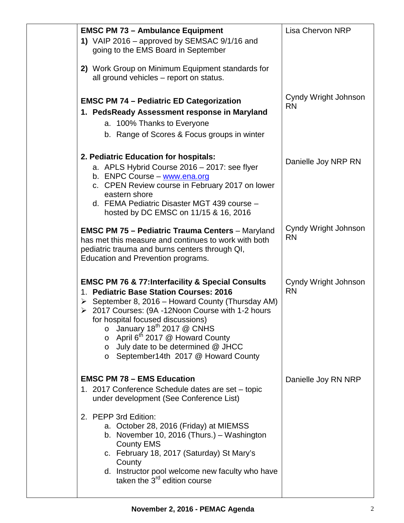| <b>EMSC PM 73 - Ambulance Equipment</b><br>1) VAIP 2016 - approved by SEMSAC 9/1/16 and<br>going to the EMS Board in September<br>2) Work Group on Minimum Equipment standards for<br>all ground vehicles - report on status.                                                                                                                                                                                                                                              | <b>Lisa Chervon NRP</b>           |  |
|----------------------------------------------------------------------------------------------------------------------------------------------------------------------------------------------------------------------------------------------------------------------------------------------------------------------------------------------------------------------------------------------------------------------------------------------------------------------------|-----------------------------------|--|
| <b>EMSC PM 74 - Pediatric ED Categorization</b><br>1. PedsReady Assessment response in Maryland<br>a. 100% Thanks to Everyone<br>b. Range of Scores & Focus groups in winter                                                                                                                                                                                                                                                                                               | Cyndy Wright Johnson<br><b>RN</b> |  |
| 2. Pediatric Education for hospitals:<br>a. APLS Hybrid Course 2016 - 2017: see flyer<br>b. ENPC Course - www.ena.org<br>c. CPEN Review course in February 2017 on lower<br>eastern shore<br>d. FEMA Pediatric Disaster MGT 439 course -<br>hosted by DC EMSC on 11/15 & 16, 2016                                                                                                                                                                                          | Danielle Joy NRP RN               |  |
| <b>EMSC PM 75 - Pediatric Trauma Centers - Maryland</b><br>has met this measure and continues to work with both<br>pediatric trauma and burns centers through QI,<br>Education and Prevention programs.                                                                                                                                                                                                                                                                    | Cyndy Wright Johnson<br><b>RN</b> |  |
| <b>EMSC PM 76 &amp; 77: Interfacility &amp; Special Consults</b><br>1. Pediatric Base Station Courses: 2016<br>$\triangleright$ September 8, 2016 – Howard County (Thursday AM)<br>▶ 2017 Courses: (9A -12Noon Course with 1-2 hours<br>for hospital focused discussions)<br>January 18 <sup>th</sup> 2017 @ CNHS<br>$\circ$<br>$\circ$ April 6 <sup>th</sup> 2017 @ Howard County<br>o July date to be determined @ JHCC<br>September14th 2017 @ Howard County<br>$\circ$ | Cyndy Wright Johnson<br><b>RN</b> |  |
| <b>EMSC PM 78 - EMS Education</b><br>1. 2017 Conference Schedule dates are set - topic<br>under development (See Conference List)                                                                                                                                                                                                                                                                                                                                          | Danielle Joy RN NRP               |  |
| 2. PEPP 3rd Edition:<br>a. October 28, 2016 (Friday) at MIEMSS<br>b. November 10, 2016 (Thurs.) - Washington<br><b>County EMS</b><br>c. February 18, 2017 (Saturday) St Mary's<br>County<br>d. Instructor pool welcome new faculty who have<br>taken the 3 <sup>rd</sup> edition course                                                                                                                                                                                    |                                   |  |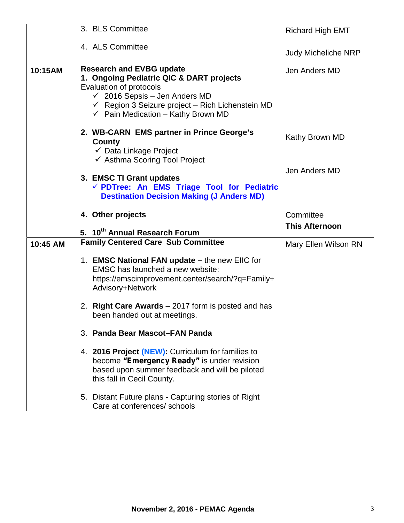|          | 3. BLS Committee                                                                                                                                                                                                                                                   | <b>Richard High EMT</b>            |
|----------|--------------------------------------------------------------------------------------------------------------------------------------------------------------------------------------------------------------------------------------------------------------------|------------------------------------|
|          | 4. ALS Committee                                                                                                                                                                                                                                                   | <b>Judy Micheliche NRP</b>         |
| 10:15AM  | <b>Research and EVBG update</b><br>1. Ongoing Pediatric QIC & DART projects<br>Evaluation of protocols<br>$\checkmark$ 2016 Sepsis - Jen Anders MD<br>$\checkmark$ Region 3 Seizure project – Rich Lichenstein MD<br>$\checkmark$ Pain Medication - Kathy Brown MD | Jen Anders MD                      |
|          | 2. WB-CARN EMS partner in Prince George's<br>County<br>$\checkmark$ Data Linkage Project<br>← Asthma Scoring Tool Project                                                                                                                                          | Kathy Brown MD                     |
|          | 3. EMSC TI Grant updates<br>√ PDTree: An EMS Triage Tool for Pediatric<br><b>Destination Decision Making (J Anders MD)</b>                                                                                                                                         | Jen Anders MD                      |
|          | 4. Other projects                                                                                                                                                                                                                                                  | Committee<br><b>This Afternoon</b> |
|          | 5. 10 <sup>th</sup> Annual Research Forum<br><b>Family Centered Care Sub Committee</b>                                                                                                                                                                             |                                    |
| 10:45 AM | 1. EMSC National FAN update - the new EIIC for<br>EMSC has launched a new website:<br>https://emscimprovement.center/search/?q=Family+<br>Advisory+Network                                                                                                         | Mary Ellen Wilson RN               |
|          | 2. Right Care Awards - 2017 form is posted and has<br>been handed out at meetings.                                                                                                                                                                                 |                                    |
|          | 3. Panda Bear Mascot-FAN Panda                                                                                                                                                                                                                                     |                                    |
|          | 4. 2016 Project (NEW): Curriculum for families to<br>become "Emergency Ready" is under revision<br>based upon summer feedback and will be piloted<br>this fall in Cecil County.                                                                                    |                                    |
|          | 5. Distant Future plans - Capturing stories of Right<br>Care at conferences/ schools                                                                                                                                                                               |                                    |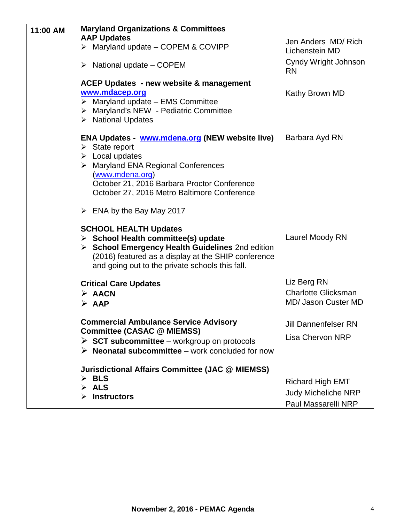| 11:00 AM | <b>Maryland Organizations &amp; Committees</b>                                                                                                                                                                                                                            |                                                                              |
|----------|---------------------------------------------------------------------------------------------------------------------------------------------------------------------------------------------------------------------------------------------------------------------------|------------------------------------------------------------------------------|
|          | <b>AAP Updates</b><br>Maryland update - COPEM & COVIPP<br>➤                                                                                                                                                                                                               | Jen Anders MD/Rich<br>Lichenstein MD                                         |
|          | $\triangleright$ National update – COPEM                                                                                                                                                                                                                                  | Cyndy Wright Johnson<br><b>RN</b>                                            |
|          | <b>ACEP Updates - new website &amp; management</b><br>www.mdacep.org<br>$\triangleright$ Maryland update - EMS Committee<br>> Maryland's NEW - Pediatric Committee<br>$\triangleright$ National Updates                                                                   | Kathy Brown MD                                                               |
|          | ENA Updates - www.mdena.org (NEW website live)<br>$\triangleright$ State report<br>$\triangleright$ Local updates<br>> Maryland ENA Regional Conferences<br>(www.mdena.org)<br>October 21, 2016 Barbara Proctor Conference<br>October 27, 2016 Metro Baltimore Conference | Barbara Ayd RN                                                               |
|          | $\triangleright$ ENA by the Bay May 2017                                                                                                                                                                                                                                  |                                                                              |
|          | <b>SCHOOL HEALTH Updates</b><br>$\triangleright$ School Health committee(s) update<br>> School Emergency Health Guidelines 2nd edition<br>(2016) featured as a display at the SHIP conference<br>and going out to the private schools this fall.                          | Laurel Moody RN                                                              |
|          | <b>Critical Care Updates</b><br>$\triangleright$ AACN<br>$\triangleright$ AAP                                                                                                                                                                                             | Liz Berg RN<br><b>Charlotte Glicksman</b><br>MD/ Jason Custer MD             |
|          | <b>Commercial Ambulance Service Advisory</b><br><b>Committee (CASAC @ MIEMSS)</b><br>$\triangleright$ SCT subcommittee – workgroup on protocols<br>$\triangleright$ Neonatal subcommittee – work concluded for now                                                        | <b>Jill Dannenfelser RN</b><br><b>Lisa Chervon NRP</b>                       |
|          | <b>Jurisdictional Affairs Committee (JAC @ MIEMSS)</b><br>$\triangleright$ BLS<br>$\triangleright$ ALS<br><b>Instructors</b>                                                                                                                                              | <b>Richard High EMT</b><br><b>Judy Micheliche NRP</b><br>Paul Massarelli NRP |